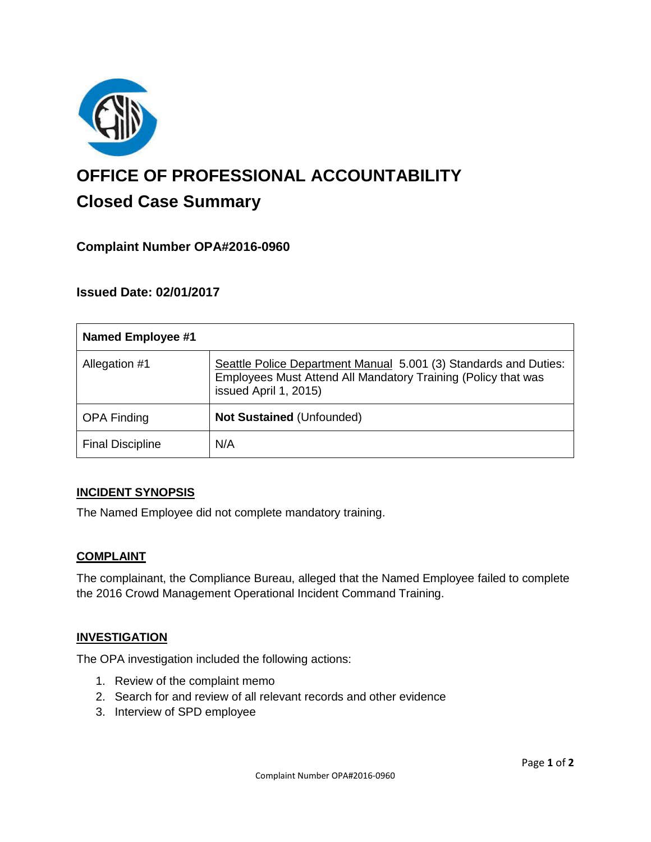

# **OFFICE OF PROFESSIONAL ACCOUNTABILITY Closed Case Summary**

# **Complaint Number OPA#2016-0960**

## **Issued Date: 02/01/2017**

| <b>Named Employee #1</b> |                                                                                                                                                            |
|--------------------------|------------------------------------------------------------------------------------------------------------------------------------------------------------|
| Allegation #1            | Seattle Police Department Manual 5.001 (3) Standards and Duties:<br>Employees Must Attend All Mandatory Training (Policy that was<br>issued April 1, 2015) |
| <b>OPA Finding</b>       | Not Sustained (Unfounded)                                                                                                                                  |
| <b>Final Discipline</b>  | N/A                                                                                                                                                        |

#### **INCIDENT SYNOPSIS**

The Named Employee did not complete mandatory training.

#### **COMPLAINT**

The complainant, the Compliance Bureau, alleged that the Named Employee failed to complete the 2016 Crowd Management Operational Incident Command Training.

#### **INVESTIGATION**

The OPA investigation included the following actions:

- 1. Review of the complaint memo
- 2. Search for and review of all relevant records and other evidence
- 3. Interview of SPD employee